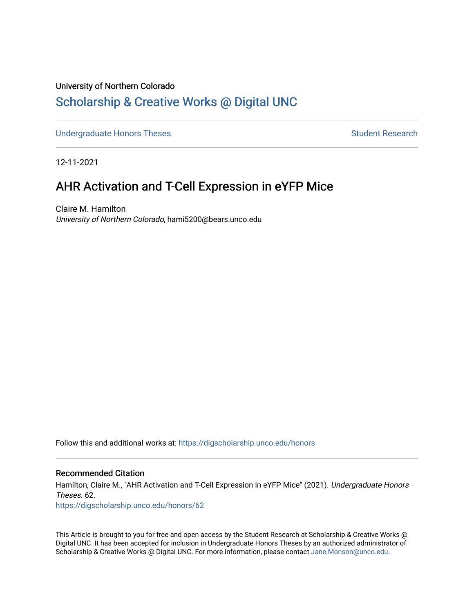# University of Northern Colorado [Scholarship & Creative Works @ Digital UNC](https://digscholarship.unco.edu/)

[Undergraduate Honors Theses](https://digscholarship.unco.edu/honors) Student Research

12-11-2021

# AHR Activation and T-Cell Expression in eYFP Mice

Claire M. Hamilton University of Northern Colorado, hami5200@bears.unco.edu

Follow this and additional works at: [https://digscholarship.unco.edu/honors](https://digscholarship.unco.edu/honors?utm_source=digscholarship.unco.edu%2Fhonors%2F62&utm_medium=PDF&utm_campaign=PDFCoverPages)

## Recommended Citation

Hamilton, Claire M., "AHR Activation and T-Cell Expression in eYFP Mice" (2021). Undergraduate Honors Theses. 62.

[https://digscholarship.unco.edu/honors/62](https://digscholarship.unco.edu/honors/62?utm_source=digscholarship.unco.edu%2Fhonors%2F62&utm_medium=PDF&utm_campaign=PDFCoverPages) 

This Article is brought to you for free and open access by the Student Research at Scholarship & Creative Works @ Digital UNC. It has been accepted for inclusion in Undergraduate Honors Theses by an authorized administrator of Scholarship & Creative Works @ Digital UNC. For more information, please contact [Jane.Monson@unco.edu.](mailto:Jane.Monson@unco.edu)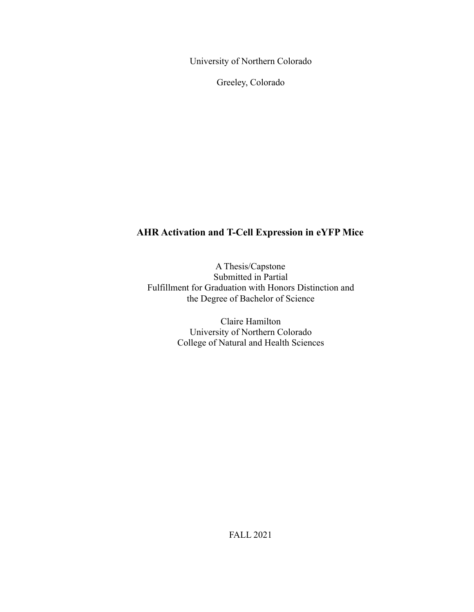University of Northern Colorado

Greeley, Colorado

# **AHR Activation and T-Cell Expression in eYFP Mice**

A Thesis/Capstone Submitted in Partial Fulfillment for Graduation with Honors Distinction and the Degree of Bachelor of Science

> Claire Hamilton University of Northern Colorado College of Natural and Health Sciences

> > FALL 2021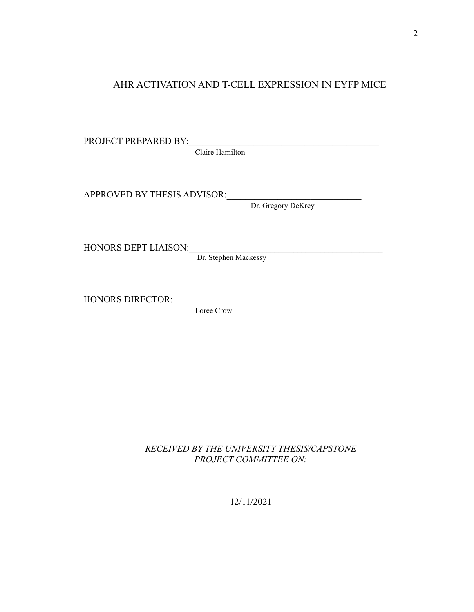# AHR ACTIVATION AND T-CELL EXPRESSION IN EYFP MICE

| PROJECT PREPARED BY:        |                      |  |  |  |
|-----------------------------|----------------------|--|--|--|
| Claire Hamilton             |                      |  |  |  |
| APPROVED BY THESIS ADVISOR: | Dr. Gregory DeKrey   |  |  |  |
|                             |                      |  |  |  |
| HONORS DEPT LIAISON:        | Dr. Stephen Mackessy |  |  |  |
|                             |                      |  |  |  |
| <b>HONORS DIRECTOR:</b>     |                      |  |  |  |
|                             | Loree Crow           |  |  |  |

*RECEIVED BY THE UNIVERSITY THESIS/CAPSTONE PROJECT COMMITTEE ON:*

12/11/2021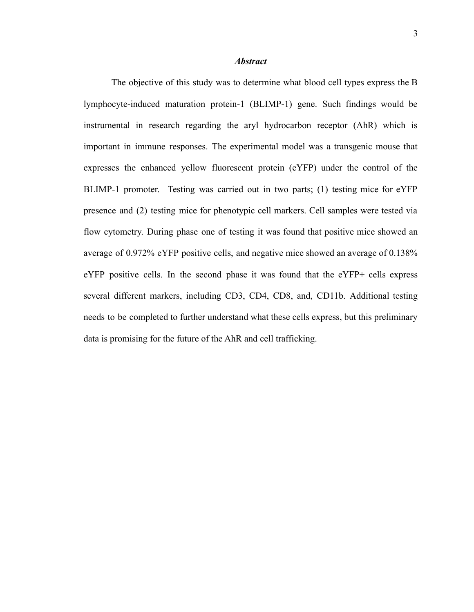#### *Abstract*

The objective of this study was to determine what blood cell types express the B lymphocyte-induced maturation protein-1 (BLIMP-1) gene. Such findings would be instrumental in research regarding the aryl hydrocarbon receptor (AhR) which is important in immune responses. The experimental model was a transgenic mouse that expresses the enhanced yellow fluorescent protein (eYFP) under the control of the BLIMP-1 promoter. Testing was carried out in two parts; (1) testing mice for eYFP presence and (2) testing mice for phenotypic cell markers. Cell samples were tested via flow cytometry. During phase one of testing it was found that positive mice showed an average of 0.972% eYFP positive cells, and negative mice showed an average of 0.138% eYFP positive cells. In the second phase it was found that the eYFP+ cells express several different markers, including CD3, CD4, CD8, and, CD11b. Additional testing needs to be completed to further understand what these cells express, but this preliminary data is promising for the future of the AhR and cell trafficking.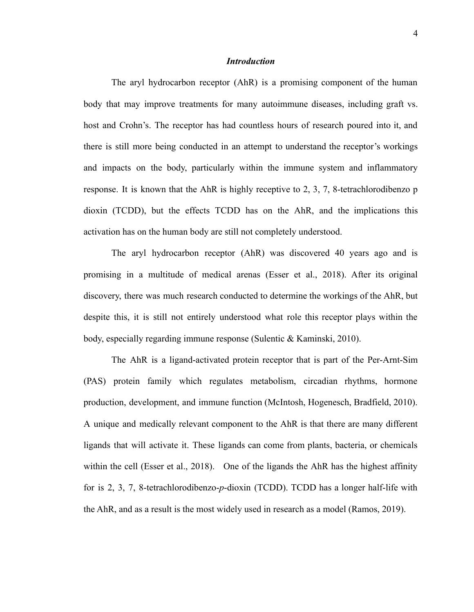#### *Introduction*

The aryl hydrocarbon receptor (AhR) is a promising component of the human body that may improve treatments for many autoimmune diseases, including graft vs. host and Crohn's. The receptor has had countless hours of research poured into it, and there is still more being conducted in an attempt to understand the receptor's workings and impacts on the body, particularly within the immune system and inflammatory response. It is known that the AhR is highly receptive to 2, 3, 7, 8-tetrachlorodibenzo p dioxin (TCDD), but the effects TCDD has on the AhR, and the implications this activation has on the human body are still not completely understood.

The aryl hydrocarbon receptor (AhR) was discovered 40 years ago and is promising in a multitude of medical arenas (Esser et al., 2018). After its original discovery, there was much research conducted to determine the workings of the AhR, but despite this, it is still not entirely understood what role this receptor plays within the body, especially regarding immune response (Sulentic & Kaminski, 2010).

The AhR is a ligand-activated protein receptor that is part of the Per-Arnt-Sim (PAS) protein family which regulates metabolism, circadian rhythms, hormone production, development, and immune function (McIntosh, Hogenesch, Bradfield, 2010). A unique and medically relevant component to the AhR is that there are many different ligands that will activate it. These ligands can come from plants, bacteria, or chemicals within the cell (Esser et al., 2018). One of the ligands the AhR has the highest affinity for is 2, 3, 7, 8-tetrachlorodibenzo-*p*-dioxin (TCDD). TCDD has a longer half-life with the AhR, and as a result is the most widely used in research as a model (Ramos, 2019).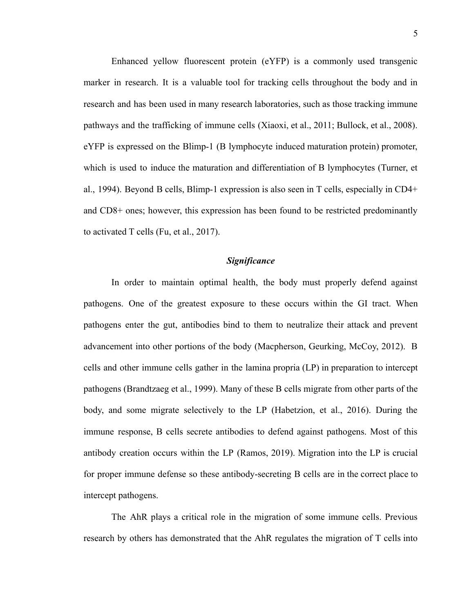Enhanced yellow fluorescent protein (eYFP) is a commonly used transgenic marker in research. It is a valuable tool for tracking cells throughout the body and in research and has been used in many research laboratories, such as those tracking immune pathways and the trafficking of immune cells (Xiaoxi, et al., 2011; Bullock, et al., 2008). eYFP is expressed on the Blimp-1 (B lymphocyte induced maturation protein) promoter, which is used to induce the maturation and differentiation of B lymphocytes (Turner, et al., 1994). Beyond B cells, Blimp-1 expression is also seen in T cells, especially in CD4+ and CD8+ ones; however, this expression has been found to be restricted predominantly to activated T cells (Fu, et al., 2017).

## *Significance*

In order to maintain optimal health, the body must properly defend against pathogens. One of the greatest exposure to these occurs within the GI tract. When pathogens enter the gut, antibodies bind to them to neutralize their attack and prevent advancement into other portions of the body (Macpherson, Geurking, McCoy, 2012). B cells and other immune cells gather in the lamina propria (LP) in preparation to intercept pathogens (Brandtzaeg et al., 1999). Many of these B cells migrate from other parts of the body, and some migrate selectively to the LP (Habetzion, et al., 2016). During the immune response, B cells secrete antibodies to defend against pathogens. Most of this antibody creation occurs within the LP (Ramos, 2019). Migration into the LP is crucial for proper immune defense so these antibody-secreting B cells are in the correct place to intercept pathogens.

The AhR plays a critical role in the migration of some immune cells. Previous research by others has demonstrated that the AhR regulates the migration of T cells into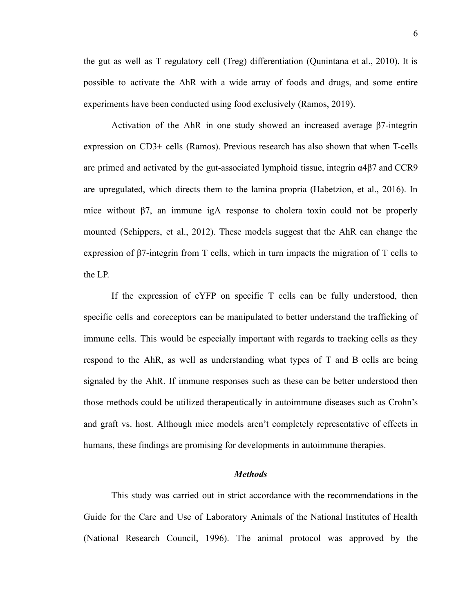the gut as well as T regulatory cell (Treg) differentiation (Qunintana et al., 2010). It is possible to activate the AhR with a wide array of foods and drugs, and some entire experiments have been conducted using food exclusively (Ramos, 2019).

Activation of the AhR in one study showed an increased average β7-integrin expression on CD3+ cells (Ramos). Previous research has also shown that when T-cells are primed and activated by the gut-associated lymphoid tissue, integrin α4β7 and CCR9 are upregulated, which directs them to the lamina propria (Habetzion, et al., 2016). In mice without  $\beta$ 7, an immune igA response to cholera toxin could not be properly mounted (Schippers, et al., 2012). These models suggest that the AhR can change the expression of β7-integrin from T cells, which in turn impacts the migration of T cells to the LP.

If the expression of eYFP on specific T cells can be fully understood, then specific cells and coreceptors can be manipulated to better understand the trafficking of immune cells. This would be especially important with regards to tracking cells as they respond to the AhR, as well as understanding what types of T and B cells are being signaled by the AhR. If immune responses such as these can be better understood then those methods could be utilized therapeutically in autoimmune diseases such as Crohn's and graft vs. host. Although mice models aren't completely representative of effects in humans, these findings are promising for developments in autoimmune therapies.

#### *Methods*

This study was carried out in strict accordance with the recommendations in the Guide for the Care and Use of Laboratory Animals of the National Institutes of Health (National Research Council, 1996). The animal protocol was approved by the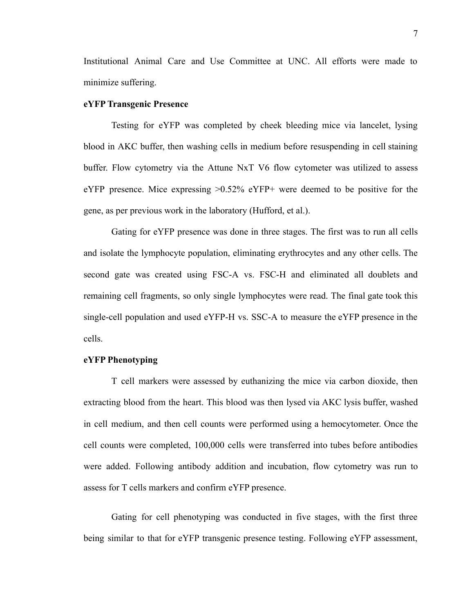Institutional Animal Care and Use Committee at UNC. All efforts were made to minimize suffering.

## **eYFP Transgenic Presence**

Testing for eYFP was completed by cheek bleeding mice via lancelet, lysing blood in AKC buffer, then washing cells in medium before resuspending in cell staining buffer. Flow cytometry via the Attune NxT V6 flow cytometer was utilized to assess eYFP presence. Mice expressing >0.52% eYFP+ were deemed to be positive for the gene, as per previous work in the laboratory (Hufford, et al.).

Gating for eYFP presence was done in three stages. The first was to run all cells and isolate the lymphocyte population, eliminating erythrocytes and any other cells. The second gate was created using FSC-A vs. FSC-H and eliminated all doublets and remaining cell fragments, so only single lymphocytes were read. The final gate took this single-cell population and used eYFP-H vs. SSC-A to measure the eYFP presence in the cells.

#### **eYFP Phenotyping**

T cell markers were assessed by euthanizing the mice via carbon dioxide, then extracting blood from the heart. This blood was then lysed via AKC lysis buffer, washed in cell medium, and then cell counts were performed using a hemocytometer. Once the cell counts were completed, 100,000 cells were transferred into tubes before antibodies were added. Following antibody addition and incubation, flow cytometry was run to assess for T cells markers and confirm eYFP presence.

Gating for cell phenotyping was conducted in five stages, with the first three being similar to that for eYFP transgenic presence testing. Following eYFP assessment,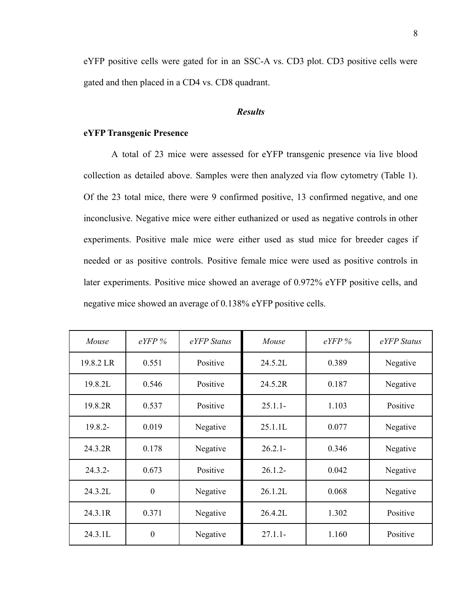eYFP positive cells were gated for in an SSC-A vs. CD3 plot. CD3 positive cells were gated and then placed in a CD4 vs. CD8 quadrant.

## *Results*

# **eYFP Transgenic Presence**

A total of 23 mice were assessed for eYFP transgenic presence via live blood collection as detailed above. Samples were then analyzed via flow cytometry (Table 1). Of the 23 total mice, there were 9 confirmed positive, 13 confirmed negative, and one inconclusive. Negative mice were either euthanized or used as negative controls in other experiments. Positive male mice were either used as stud mice for breeder cages if needed or as positive controls. Positive female mice were used as positive controls in later experiments. Positive mice showed an average of 0.972% eYFP positive cells, and negative mice showed an average of 0.138% eYFP positive cells.

| Mouse      | $eYFP\%$         | eYFP Status | Mouse      | $eYFP\%$ | eYFP Status |
|------------|------------------|-------------|------------|----------|-------------|
| 19.8.2 LR  | 0.551            | Positive    | 24.5.2L    | 0.389    | Negative    |
| 19.8.2L    | 0.546            | Positive    | 24.5.2R    | 0.187    | Negative    |
| 19.8.2R    | 0.537            | Positive    | $25.1.1 -$ | 1.103    | Positive    |
| 19.8.2-    | 0.019            | Negative    | 25.1.1L    | 0.077    | Negative    |
| 24.3.2R    | 0.178            | Negative    | $26.2.1 -$ | 0.346    | Negative    |
| $24.3.2 -$ | 0.673            | Positive    | $26.1.2 -$ | 0.042    | Negative    |
| 24.3.2L    | $\boldsymbol{0}$ | Negative    | 26.1.2L    | 0.068    | Negative    |
| 24.3.1R    | 0.371            | Negative    | 26.4.2L    | 1.302    | Positive    |
| 24.3.1L    | $\boldsymbol{0}$ | Negative    | $27.1.1 -$ | 1.160    | Positive    |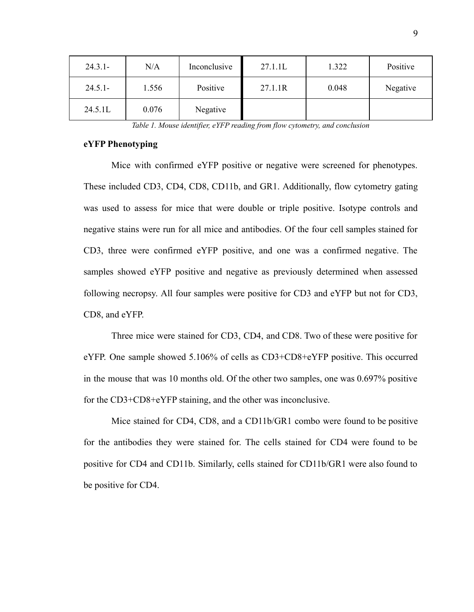| $24.3.1 -$ | N/A   | Inconclusive | 27.1.1L | 1.322 | Positive |
|------------|-------|--------------|---------|-------|----------|
| $24.5.1 -$ | 1.556 | Positive     | 27.1.1R | 0.048 | Negative |
| 24.5.1L    | 0.076 | Negative     |         |       |          |

*Table 1. Mouse identifier, eYFP reading from flow cytometry, and conclusion*

## **eYFP Phenotyping**

Mice with confirmed eYFP positive or negative were screened for phenotypes. These included CD3, CD4, CD8, CD11b, and GR1. Additionally, flow cytometry gating was used to assess for mice that were double or triple positive. Isotype controls and negative stains were run for all mice and antibodies. Of the four cell samples stained for CD3, three were confirmed eYFP positive, and one was a confirmed negative. The samples showed eYFP positive and negative as previously determined when assessed following necropsy. All four samples were positive for CD3 and eYFP but not for CD3, CD8, and eYFP.

Three mice were stained for CD3, CD4, and CD8. Two of these were positive for eYFP. One sample showed 5.106% of cells as CD3+CD8+eYFP positive. This occurred in the mouse that was 10 months old. Of the other two samples, one was 0.697% positive for the CD3+CD8+eYFP staining, and the other was inconclusive.

Mice stained for CD4, CD8, and a CD11b/GR1 combo were found to be positive for the antibodies they were stained for. The cells stained for CD4 were found to be positive for CD4 and CD11b. Similarly, cells stained for CD11b/GR1 were also found to be positive for CD4.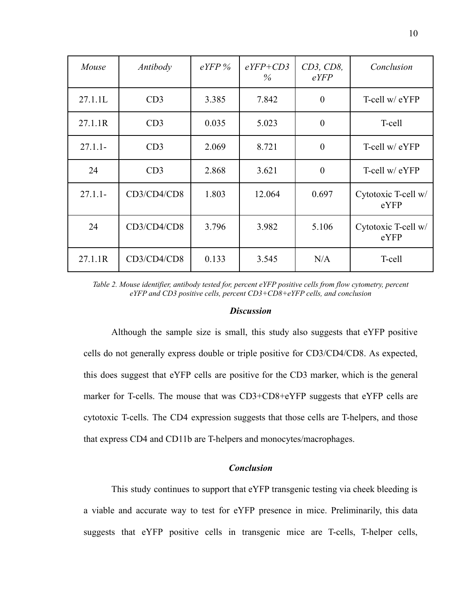| Mouse      | Antibody    | $e$ <i>YFP</i> % | $eYFP+CD3$<br>$\%$ | CD3, CD8,<br>eYFP | Conclusion                  |
|------------|-------------|------------------|--------------------|-------------------|-----------------------------|
| 27.1.1L    | CD3         | 3.385            | 7.842              | $\overline{0}$    | T-cell w/ eYFP              |
| 27.1.1R    | CD3         | 0.035            | 5.023              | $\overline{0}$    | T-cell                      |
| $27.1.1 -$ | CD3         | 2.069            | 8.721              | $\overline{0}$    | T-cell w/ eYFP              |
| 24         | CD3         | 2.868            | 3.621              | $\overline{0}$    | T-cell w/ eYFP              |
| $27.1.1 -$ | CD3/CD4/CD8 | 1.803            | 12.064             | 0.697             | Cytotoxic T-cell w/<br>eYFP |
| 24         | CD3/CD4/CD8 | 3.796            | 3.982              | 5.106             | Cytotoxic T-cell w/<br>eYFP |
| 27.1.1R    | CD3/CD4/CD8 | 0.133            | 3.545              | N/A               | T-cell                      |

*Table 2. Mouse identifier, antibody tested for, percent eYFP positive cells from flow cytometry, percent eYFP and CD3 positive cells, percent CD3+CD8+eYFP cells, and conclusion*

#### *Discussion*

Although the sample size is small, this study also suggests that eYFP positive cells do not generally express double or triple positive for CD3/CD4/CD8. As expected, this does suggest that eYFP cells are positive for the CD3 marker, which is the general marker for T-cells. The mouse that was CD3+CD8+eYFP suggests that eYFP cells are cytotoxic T-cells. The CD4 expression suggests that those cells are T-helpers, and those that express CD4 and CD11b are T-helpers and monocytes/macrophages.

# *Conclusion*

This study continues to support that eYFP transgenic testing via cheek bleeding is a viable and accurate way to test for eYFP presence in mice. Preliminarily, this data suggests that eYFP positive cells in transgenic mice are T-cells, T-helper cells,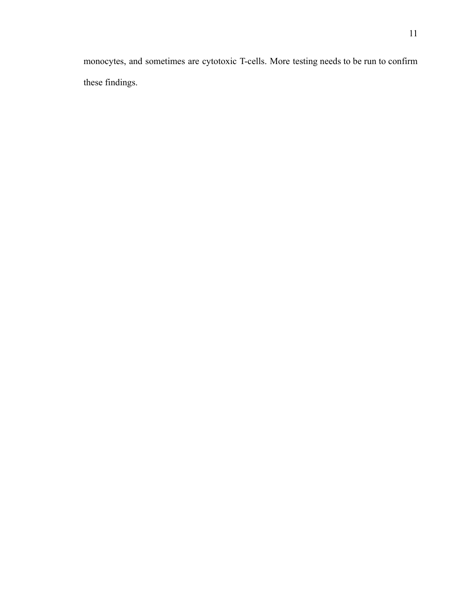monocytes, and sometimes are cytotoxic T-cells. More testing needs to be run to confirm these findings.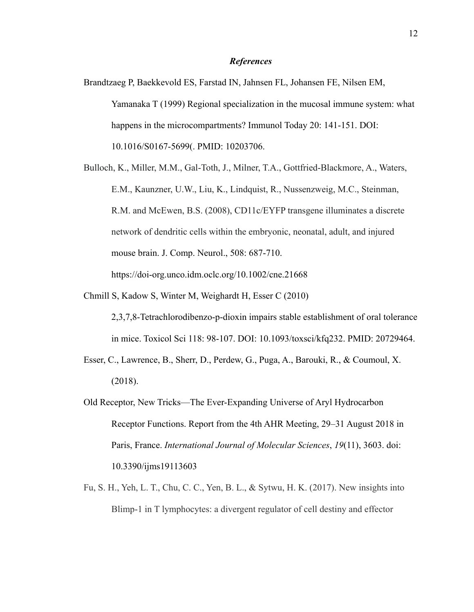#### *References*

- Brandtzaeg P, Baekkevold ES, Farstad IN, Jahnsen FL, Johansen FE, Nilsen EM, Yamanaka T (1999) Regional specialization in the mucosal immune system: what happens in the microcompartments? Immunol Today 20: 141-151. DOI: 10.1016/S0167-5699(. PMID: 10203706.
- Bulloch, K., Miller, M.M., Gal-Toth, J., Milner, T.A., Gottfried-Blackmore, A., Waters, E.M., Kaunzner, U.W., Liu, K., Lindquist, R., Nussenzweig, M.C., Steinman, R.M. and McEwen, B.S. (2008), CD11c/EYFP transgene illuminates a discrete network of dendritic cells within the embryonic, neonatal, adult, and injured mouse brain. J. Comp. Neurol., 508: 687-710. <https://doi-org.unco.idm.oclc.org/10.1002/cne.21668>
- Chmill S, Kadow S, Winter M, Weighardt H, Esser C (2010)
	- 2,3,7,8-Tetrachlorodibenzo-p-dioxin impairs stable establishment of oral tolerance in mice. Toxicol Sci 118: 98-107. DOI: 10.1093/toxsci/kfq232. PMID: 20729464.
- Esser, C., Lawrence, B., Sherr, D., Perdew, G., Puga, A., Barouki, R., & Coumoul, X. (2018).
- Old Receptor, New Tricks—The Ever-Expanding Universe of Aryl Hydrocarbon Receptor Functions. Report from the 4th AHR Meeting, 29–31 August 2018 in Paris, France. *International Journal of Molecular Sciences*, *19*(11), 3603. doi: 10.3390/ijms19113603
- Fu, S. H., Yeh, L. T., Chu, C. C., Yen, B. L., & Sytwu, H. K. (2017). New insights into Blimp-1 in T lymphocytes: a divergent regulator of cell destiny and effector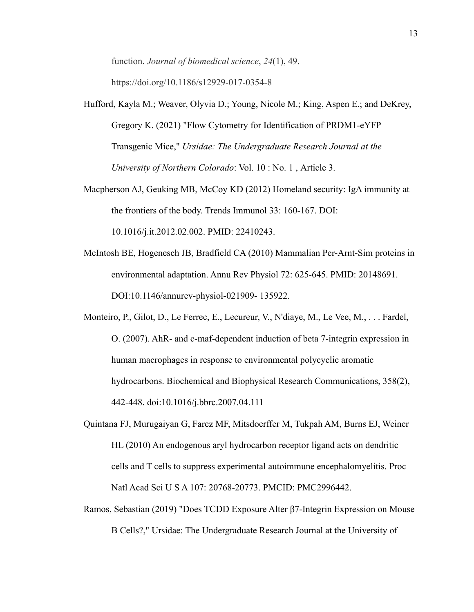function. *Journal of biomedical science*, *24*(1), 49. https://doi.org/10.1186/s12929-017-0354-8

- Hufford, Kayla M.; Weaver, Olyvia D.; Young, Nicole M.; King, Aspen E.; and DeKrey, Gregory K. (2021) "Flow Cytometry for Identification of PRDM1-eYFP Transgenic Mice," *Ursidae: The Undergraduate Research Journal at the University of Northern Colorado*: Vol. 10 : No. 1 , Article 3.
- Macpherson AJ, Geuking MB, McCoy KD (2012) Homeland security: IgA immunity at the frontiers of the body. Trends Immunol 33: 160-167. DOI: 10.1016/j.it.2012.02.002. PMID: 22410243.
- McIntosh BE, Hogenesch JB, Bradfield CA (2010) Mammalian Per-Arnt-Sim proteins in environmental adaptation. Annu Rev Physiol 72: 625-645. PMID: 20148691. DOI:10.1146/annurev-physiol-021909- 135922.
- Monteiro, P., Gilot, D., Le Ferrec, E., Lecureur, V., N'diaye, M., Le Vee, M., . . . Fardel, O. (2007). AhR- and c-maf-dependent induction of beta 7-integrin expression in human macrophages in response to environmental polycyclic aromatic hydrocarbons. Biochemical and Biophysical Research Communications, 358(2), 442-448. doi:10.1016/j.bbrc.2007.04.111
- Quintana FJ, Murugaiyan G, Farez MF, Mitsdoerffer M, Tukpah AM, Burns EJ, Weiner HL (2010) An endogenous aryl hydrocarbon receptor ligand acts on dendritic cells and T cells to suppress experimental autoimmune encephalomyelitis. Proc Natl Acad Sci U S A 107: 20768-20773. PMCID: PMC2996442.
- Ramos, Sebastian (2019) "Does TCDD Exposure Alter β7-Integrin Expression on Mouse B Cells?," Ursidae: The Undergraduate Research Journal at the University of